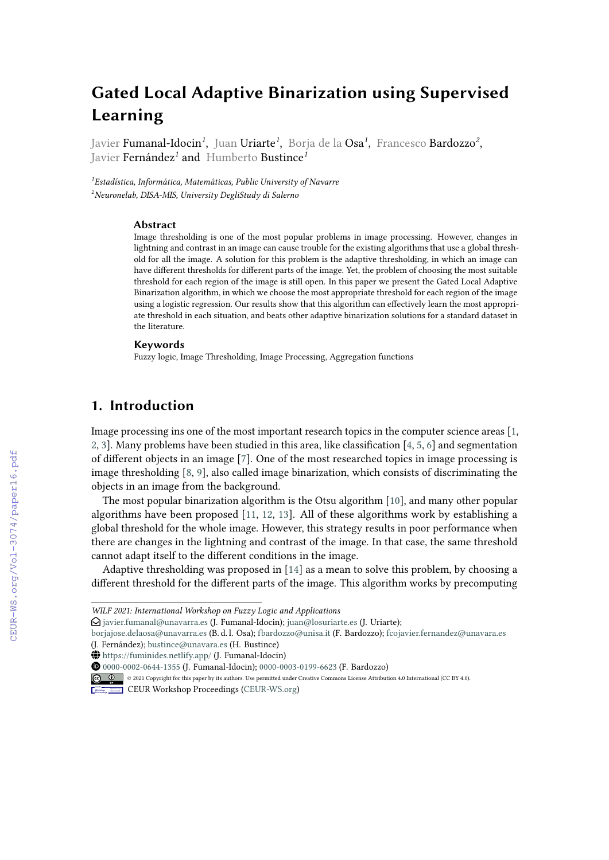# **Gated Local Adaptive Binarization using Supervised Learning**

Javier **Fumanal-Idocin<sup>1</sup>, Juan Uriarte<sup>1</sup>,** Borja de la **Osa<sup>1</sup>, Francesco Bardozzo<sup>2</sup>,** Javier Fernández*<sup>1</sup>* and Humberto Bustince*<sup>1</sup>*

*1 Estadística, Informática, Matemáticas, Public University of Navarre <sup>2</sup>Neuronelab, DISA-MIS, University DegliStudy di Salerno*

#### **Abstract**

Image thresholding is one of the most popular problems in image processing. However, changes in lightning and contrast in an image can cause trouble for the existing algorithms that use a global threshold for all the image. A solution for this problem is the adaptive thresholding, in which an image can have different thresholds for different parts of the image. Yet, the problem of choosing the most suitable threshold for each region of the image is still open. In this paper we present the Gated Local Adaptive Binarization algorithm, in which we choose the most appropriate threshold for each region of the image using a logistic regression. Our results show that this algorithm can effectively learn the most appropriate threshold in each situation, and beats other adaptive binarization solutions for a standard dataset in the literature.

#### **Keywords**

Fuzzy logic, Image Thresholding, Image Processing, Aggregation functions

# **1. Introduction**

Image processing ins one of the most important research topics in the computer science areas [\[1,](#page--1-0) [2,](#page--1-1) [3\]](#page--1-2). Many problems have been studied in this area, like classification [\[4,](#page--1-3) [5,](#page--1-4) [6\]](#page--1-5) and segmentation of different objects in an image [\[7\]](#page--1-6). One of the most researched topics in image processing is image thresholding [\[8,](#page--1-7) [9\]](#page--1-8), also called image binarization, which consists of discriminating the objects in an image from the background.

The most popular binarization algorithm is the Otsu algorithm [\[10\]](#page--1-9), and many other popular algorithms have been proposed [\[11,](#page--1-10) [12,](#page--1-11) [13\]](#page--1-12). All of these algorithms work by establishing a global threshold for the whole image. However, this strategy results in poor performance when there are changes in the lightning and contrast of the image. In that case, the same threshold cannot adapt itself to the different conditions in the image.

Adaptive thresholding was proposed in [\[14\]](#page--1-13) as a mean to solve this problem, by choosing a different threshold for the different parts of the image. This algorithm works by precomputing

[borjajose.delaosa@unavarra.es](mailto:borjajose.delaosa@unavarra.es) (B. d. l. Osa); [fbardozzo@unisa.it](mailto:fbardozzo@unisa.it) (F. Bardozzo); [fcojavier.fernandez@unavara.es](mailto:fcojavier.fernandez@unavara.es) (J. Fernández); [bustince@unavara.es](mailto:bustince@unavara.es) (H. Bustince)

*WILF 2021: International Workshop on Fuzzy Logic and Applications*

 $\Theta$  [javier.fumanal@unavarra.es](mailto:javier.fumanal@unavarra.es) (J. Fumanal-Idocin); [juan@losuriarte.es](mailto:juan@losuriarte.es) (J. Uriarte);

<sup>~</sup> <https://fuminides.netlify.app/> (J. Fumanal-Idocin)

[0000-0002-0644-1355](https://orcid.org/0000-0002-0644-1355) (J. Fumanal-Idocin); [0000-0003-0199-6623](https://orcid.org/0000-0003-0199-6623) (F. Bardozzo)

<sup>©</sup> 2021 Copyright for this paper by its authors. Use permitted under Creative Commons License Attribution 4.0 International (CC BY 4.0).

**CEUR Workshop [Proceedings](http://ceur-ws.org) [\(CEUR-WS.org\)](http://ceur-ws.org)**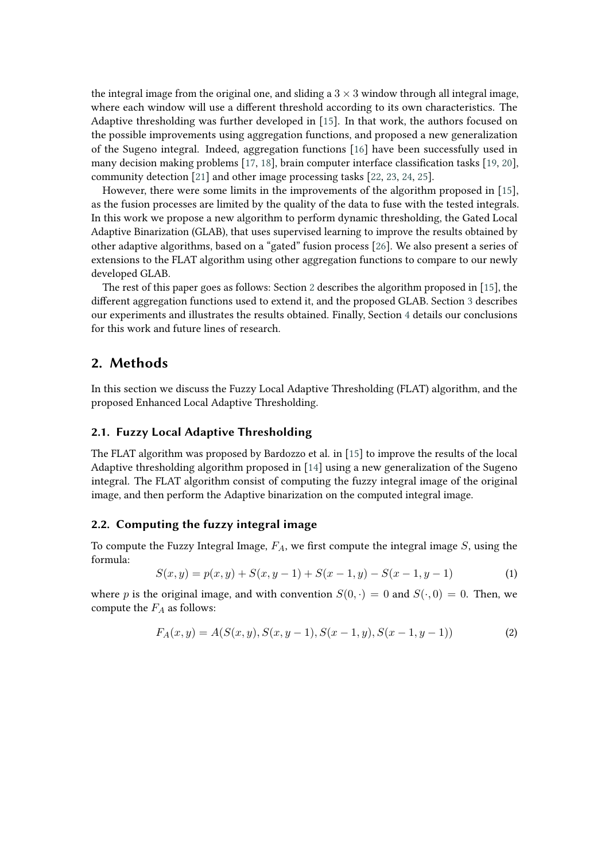the integral image from the original one, and sliding a  $3 \times 3$  window through all integral image, where each window will use a different threshold according to its own characteristics. The Adaptive thresholding was further developed in [\[15\]](#page-5-0). In that work, the authors focused on the possible improvements using aggregation functions, and proposed a new generalization of the Sugeno integral. Indeed, aggregation functions [\[16\]](#page-6-0) have been successfully used in many decision making problems [\[17,](#page-6-1) [18\]](#page-6-2), brain computer interface classification tasks [\[19,](#page-6-3) [20\]](#page-6-4), community detection [\[21\]](#page-6-5) and other image processing tasks [\[22,](#page-6-6) [23,](#page-6-7) [24,](#page-6-8) [25\]](#page-6-9).

However, there were some limits in the improvements of the algorithm proposed in [\[15\]](#page-5-0), as the fusion processes are limited by the quality of the data to fuse with the tested integrals. In this work we propose a new algorithm to perform dynamic thresholding, the Gated Local Adaptive Binarization (GLAB), that uses supervised learning to improve the results obtained by other adaptive algorithms, based on a "gated" fusion process [\[26\]](#page-6-10). We also present a series of extensions to the FLAT algorithm using other aggregation functions to compare to our newly developed GLAB.

The rest of this paper goes as follows: Section [2](#page-1-0) describes the algorithm proposed in [\[15\]](#page-5-0), the different aggregation functions used to extend it, and the proposed GLAB. Section [3](#page-3-0) describes our experiments and illustrates the results obtained. Finally, Section [4](#page-5-1) details our conclusions for this work and future lines of research.

# <span id="page-1-0"></span>**2. Methods**

In this section we discuss the Fuzzy Local Adaptive Thresholding (FLAT) algorithm, and the proposed Enhanced Local Adaptive Thresholding.

#### **2.1. Fuzzy Local Adaptive Thresholding**

The FLAT algorithm was proposed by Bardozzo et al. in [\[15\]](#page-5-0) to improve the results of the local Adaptive thresholding algorithm proposed in [\[14\]](#page-5-2) using a new generalization of the Sugeno integral. The FLAT algorithm consist of computing the fuzzy integral image of the original image, and then perform the Adaptive binarization on the computed integral image.

### **2.2. Computing the fuzzy integral image**

To compute the Fuzzy Integral Image,  $F_A$ , we first compute the integral image  $S$ , using the formula:

$$
S(x, y) = p(x, y) + S(x, y - 1) + S(x - 1, y) - S(x - 1, y - 1)
$$
\n(1)

where p is the original image, and with convention  $S(0, \cdot) = 0$  and  $S(\cdot, 0) = 0$ . Then, we compute the  $F_A$  as follows:

$$
F_A(x,y) = A(S(x,y), S(x,y-1), S(x-1,y), S(x-1,y-1))
$$
\n(2)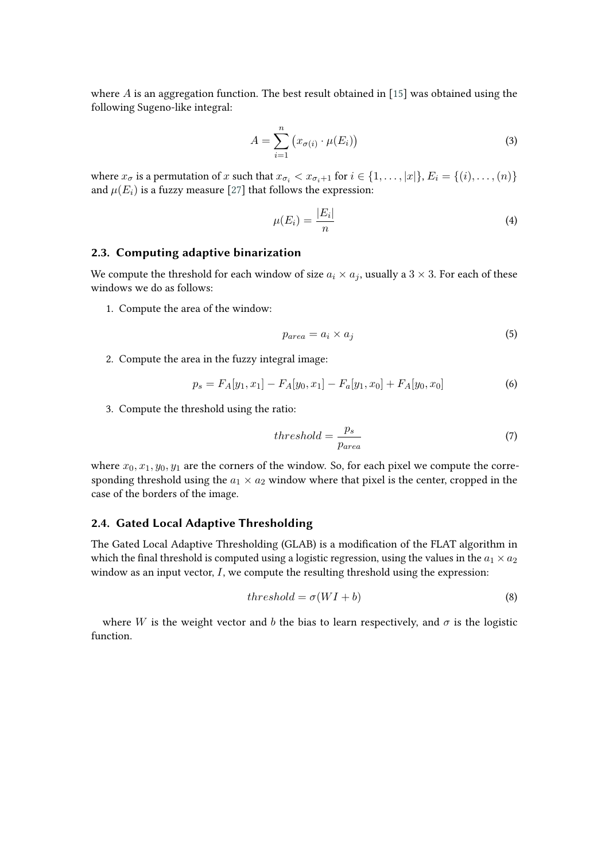where  $\vec{A}$  is an aggregation function. The best result obtained in [\[15\]](#page-5-0) was obtained using the following Sugeno-like integral:

$$
A = \sum_{i=1}^{n} (x_{\sigma(i)} \cdot \mu(E_i))
$$
 (3)

where  $x_{\sigma}$  is a permutation of  $x$  such that  $x_{\sigma_i} < x_{\sigma_i+1}$  for  $i \in \{1, ..., |x|\}$ ,  $E_i = \{(i), ..., (n)\}$ and  $\mu(E_i)$  is a fuzzy measure [\[27\]](#page-6-11) that follows the expression:

$$
\mu(E_i) = \frac{|E_i|}{n} \tag{4}
$$

#### **2.3. Computing adaptive binarization**

We compute the threshold for each window of size  $a_i \times a_j$ , usually a  $3 \times 3$ . For each of these windows we do as follows:

1. Compute the area of the window:

$$
p_{area} = a_i \times a_j \tag{5}
$$

2. Compute the area in the fuzzy integral image:

$$
p_s = F_A[y_1, x_1] - F_A[y_0, x_1] - F_a[y_1, x_0] + F_A[y_0, x_0]
$$
\n<sup>(6)</sup>

3. Compute the threshold using the ratio:

$$
threshold = \frac{p_s}{p_{area}} \tag{7}
$$

where  $x_0, x_1, y_0, y_1$  are the corners of the window. So, for each pixel we compute the corresponding threshold using the  $a_1 \times a_2$  window where that pixel is the center, cropped in the case of the borders of the image.

## **2.4. Gated Local Adaptive Thresholding**

The Gated Local Adaptive Thresholding (GLAB) is a modification of the FLAT algorithm in which the final threshold is computed using a logistic regression, using the values in the  $a_1 \times a_2$ window as an input vector,  $I$ , we compute the resulting threshold using the expression:

$$
threshold = \sigma(WI + b)
$$
\n(8)

where *W* is the weight vector and *b* the bias to learn respectively, and  $\sigma$  is the logistic function.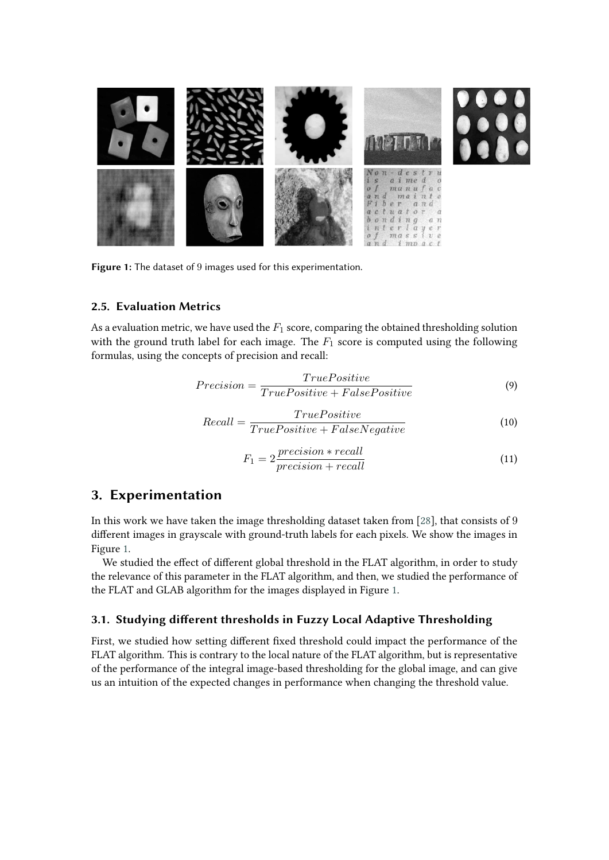

**Figure 1:** The dataset of 9 images used for this experimentation.

### **2.5. Evaluation Metrics**

As a evaluation metric, we have used the  $F_1$  score, comparing the obtained thresholding solution with the ground truth label for each image. The  $F_1$  score is computed using the following formulas, using the concepts of precision and recall:

<span id="page-3-1"></span>
$$
Precision = \frac{TruePositive}{TruePositive + FalsePositive}
$$
\n(9)

$$
Recall = \frac{TruePositive}{TruePositive + FalseNegative}
$$
\n(10)

$$
F_1 = 2 \frac{precision * recall}{precision + recall}
$$
\n(11)

# <span id="page-3-0"></span>**3. Experimentation**

In this work we have taken the image thresholding dataset taken from [\[28\]](#page-6-12), that consists of 9 different images in grayscale with ground-truth labels for each pixels. We show the images in Figure [1.](#page-3-1)

We studied the effect of different global threshold in the FLAT algorithm, in order to study the relevance of this parameter in the FLAT algorithm, and then, we studied the performance of the FLAT and GLAB algorithm for the images displayed in Figure [1.](#page-3-1)

#### **3.1. Studying different thresholds in Fuzzy Local Adaptive Thresholding**

First, we studied how setting different fixed threshold could impact the performance of the FLAT algorithm. This is contrary to the local nature of the FLAT algorithm, but is representative of the performance of the integral image-based thresholding for the global image, and can give us an intuition of the expected changes in performance when changing the threshold value.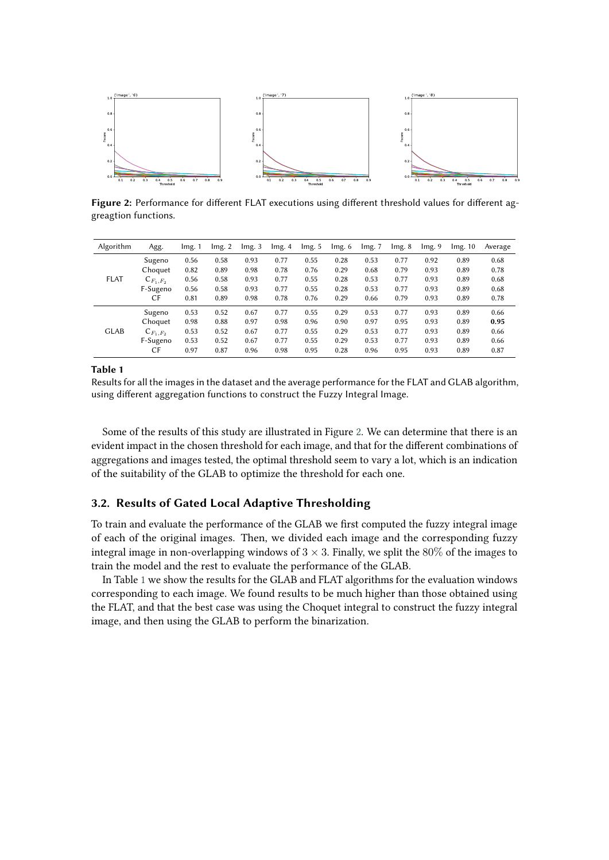

<span id="page-4-0"></span>**Figure 2:** Performance for different FLAT executions using different threshold values for different aggreagtion functions.

| Algorithm   | Agg.          | lmg. 1 | Img.2 | Img.3 | lmg. 4 | Img.5 | Img.6 | lmg. 7 | Img.8 | Img.9 | Img. 10 | Average |
|-------------|---------------|--------|-------|-------|--------|-------|-------|--------|-------|-------|---------|---------|
| <b>FLAT</b> | Sugeno        | 0.56   | 0.58  | 0.93  | 0.77   | 0.55  | 0.28  | 0.53   | 0.77  | 0.92  | 0.89    | 0.68    |
|             | Choquet       | 0.82   | 0.89  | 0.98  | 0.78   | 0.76  | 0.29  | 0.68   | 0.79  | 0.93  | 0.89    | 0.78    |
|             | $C_{F_1,F_2}$ | 0.56   | 0.58  | 0.93  | 0.77   | 0.55  | 0.28  | 0.53   | 0.77  | 0.93  | 0.89    | 0.68    |
|             | F-Sugeno      | 0.56   | 0.58  | 0.93  | 0.77   | 0.55  | 0.28  | 0.53   | 0.77  | 0.93  | 0.89    | 0.68    |
|             | СF            | 0.81   | 0.89  | 0.98  | 0.78   | 0.76  | 0.29  | 0.66   | 0.79  | 0.93  | 0.89    | 0.78    |
| <b>GLAB</b> | Sugeno        | 0.53   | 0.52  | 0.67  | 0.77   | 0.55  | 0.29  | 0.53   | 0.77  | 0.93  | 0.89    | 0.66    |
|             | Choquet       | 0.98   | 0.88  | 0.97  | 0.98   | 0.96  | 0.90  | 0.97   | 0.95  | 0.93  | 0.89    | 0.95    |
|             | $C_{F_1,F_2}$ | 0.53   | 0.52  | 0.67  | 0.77   | 0.55  | 0.29  | 0.53   | 0.77  | 0.93  | 0.89    | 0.66    |
|             | F-Sugeno      | 0.53   | 0.52  | 0.67  | 0.77   | 0.55  | 0.29  | 0.53   | 0.77  | 0.93  | 0.89    | 0.66    |
|             | CF            | 0.97   | 0.87  | 0.96  | 0.98   | 0.95  | 0.28  | 0.96   | 0.95  | 0.93  | 0.89    | 0.87    |

#### <span id="page-4-1"></span>**Table 1**

Results for all the images in the dataset and the average performance for the FLAT and GLAB algorithm, using different aggregation functions to construct the Fuzzy Integral Image.

Some of the results of this study are illustrated in Figure [2.](#page-4-0) We can determine that there is an evident impact in the chosen threshold for each image, and that for the different combinations of aggregations and images tested, the optimal threshold seem to vary a lot, which is an indication of the suitability of the GLAB to optimize the threshold for each one.

## **3.2. Results of Gated Local Adaptive Thresholding**

To train and evaluate the performance of the GLAB we first computed the fuzzy integral image of each of the original images. Then, we divided each image and the corresponding fuzzy integral image in non-overlapping windows of  $3 \times 3$ . Finally, we split the 80% of the images to train the model and the rest to evaluate the performance of the GLAB.

In Table [1](#page-4-1) we show the results for the GLAB and FLAT algorithms for the evaluation windows corresponding to each image. We found results to be much higher than those obtained using the FLAT, and that the best case was using the Choquet integral to construct the fuzzy integral image, and then using the GLAB to perform the binarization.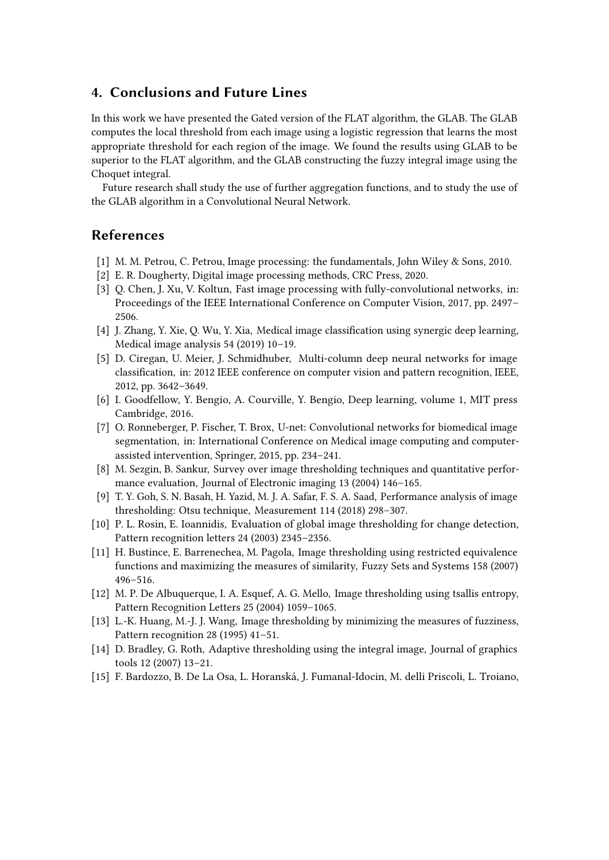# <span id="page-5-1"></span>**4. Conclusions and Future Lines**

In this work we have presented the Gated version of the FLAT algorithm, the GLAB. The GLAB computes the local threshold from each image using a logistic regression that learns the most appropriate threshold for each region of the image. We found the results using GLAB to be superior to the FLAT algorithm, and the GLAB constructing the fuzzy integral image using the Choquet integral.

Future research shall study the use of further aggregation functions, and to study the use of the GLAB algorithm in a Convolutional Neural Network.

# **References**

- [1] M. M. Petrou, C. Petrou, Image processing: the fundamentals, John Wiley & Sons, 2010.
- [2] E. R. Dougherty, Digital image processing methods, CRC Press, 2020.
- [3] Q. Chen, J. Xu, V. Koltun, Fast image processing with fully-convolutional networks, in: Proceedings of the IEEE International Conference on Computer Vision, 2017, pp. 2497– 2506.
- [4] J. Zhang, Y. Xie, Q. Wu, Y. Xia, Medical image classification using synergic deep learning, Medical image analysis 54 (2019) 10–19.
- [5] D. Ciregan, U. Meier, J. Schmidhuber, Multi-column deep neural networks for image classification, in: 2012 IEEE conference on computer vision and pattern recognition, IEEE, 2012, pp. 3642–3649.
- [6] I. Goodfellow, Y. Bengio, A. Courville, Y. Bengio, Deep learning, volume 1, MIT press Cambridge, 2016.
- [7] O. Ronneberger, P. Fischer, T. Brox, U-net: Convolutional networks for biomedical image segmentation, in: International Conference on Medical image computing and computerassisted intervention, Springer, 2015, pp. 234–241.
- [8] M. Sezgin, B. Sankur, Survey over image thresholding techniques and quantitative performance evaluation, Journal of Electronic imaging 13 (2004) 146–165.
- [9] T. Y. Goh, S. N. Basah, H. Yazid, M. J. A. Safar, F. S. A. Saad, Performance analysis of image thresholding: Otsu technique, Measurement 114 (2018) 298–307.
- [10] P. L. Rosin, E. Ioannidis, Evaluation of global image thresholding for change detection, Pattern recognition letters 24 (2003) 2345–2356.
- [11] H. Bustince, E. Barrenechea, M. Pagola, Image thresholding using restricted equivalence functions and maximizing the measures of similarity, Fuzzy Sets and Systems 158 (2007) 496–516.
- [12] M. P. De Albuquerque, I. A. Esquef, A. G. Mello, Image thresholding using tsallis entropy, Pattern Recognition Letters 25 (2004) 1059–1065.
- [13] L.-K. Huang, M.-J. J. Wang, Image thresholding by minimizing the measures of fuzziness, Pattern recognition 28 (1995) 41–51.
- <span id="page-5-2"></span>[14] D. Bradley, G. Roth, Adaptive thresholding using the integral image, Journal of graphics tools 12 (2007) 13–21.
- <span id="page-5-0"></span>[15] F. Bardozzo, B. De La Osa, L. Horanská, J. Fumanal-Idocin, M. delli Priscoli, L. Troiano,